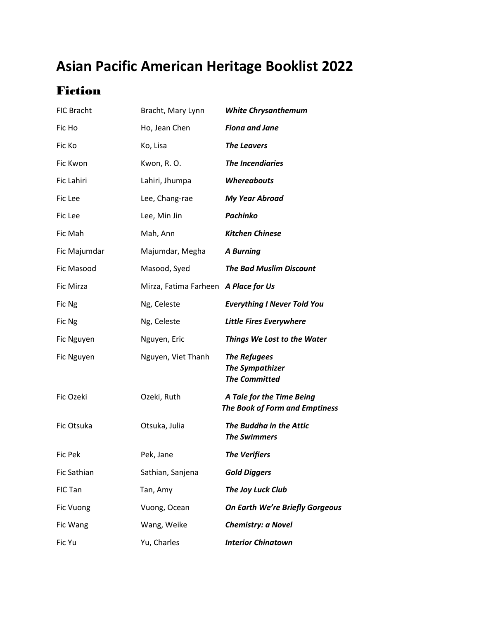# **Asian Pacific American Heritage Booklist 2022**

## Fiction

| <b>FIC Bracht</b> | Bracht, Mary Lynn                    | <b>White Chrysanthemum</b>                                            |
|-------------------|--------------------------------------|-----------------------------------------------------------------------|
| Fic Ho            | Ho, Jean Chen                        | <b>Fiona and Jane</b>                                                 |
| Fic Ko            | Ko, Lisa                             | <b>The Leavers</b>                                                    |
| Fic Kwon          | Kwon, R. O.                          | <b>The Incendiaries</b>                                               |
| Fic Lahiri        | Lahiri, Jhumpa                       | <b>Whereabouts</b>                                                    |
| Fic Lee           | Lee, Chang-rae                       | <b>My Year Abroad</b>                                                 |
| Fic Lee           | Lee, Min Jin                         | Pachinko                                                              |
| Fic Mah           | Mah, Ann                             | <b>Kitchen Chinese</b>                                                |
| Fic Majumdar      | Majumdar, Megha                      | <b>A Burning</b>                                                      |
| Fic Masood        | Masood, Syed                         | <b>The Bad Muslim Discount</b>                                        |
| Fic Mirza         | Mirza, Fatima Farheen A Place for Us |                                                                       |
| Fic Ng            | Ng, Celeste                          | <b>Everything I Never Told You</b>                                    |
| Fic Ng            | Ng, Celeste                          | <b>Little Fires Everywhere</b>                                        |
| Fic Nguyen        | Nguyen, Eric                         | <b>Things We Lost to the Water</b>                                    |
| Fic Nguyen        | Nguyen, Viet Thanh                   | <b>The Refugees</b><br><b>The Sympathizer</b><br><b>The Committed</b> |
| Fic Ozeki         | Ozeki, Ruth                          | A Tale for the Time Being<br><b>The Book of Form and Emptiness</b>    |
| Fic Otsuka        | Otsuka, Julia                        | The Buddha in the Attic<br><b>The Swimmers</b>                        |
| Fic Pek           | Pek, Jane                            | <b>The Verifiers</b>                                                  |
| Fic Sathian       | Sathian, Sanjena                     | <b>Gold Diggers</b>                                                   |
| FIC Tan           | Tan, Amy                             | The Joy Luck Club                                                     |
| Fic Vuong         | Vuong, Ocean                         | On Earth We're Briefly Gorgeous                                       |
| Fic Wang          | Wang, Weike                          | <b>Chemistry: a Novel</b>                                             |
| Fic Yu            | Yu, Charles                          | <b>Interior Chinatown</b>                                             |